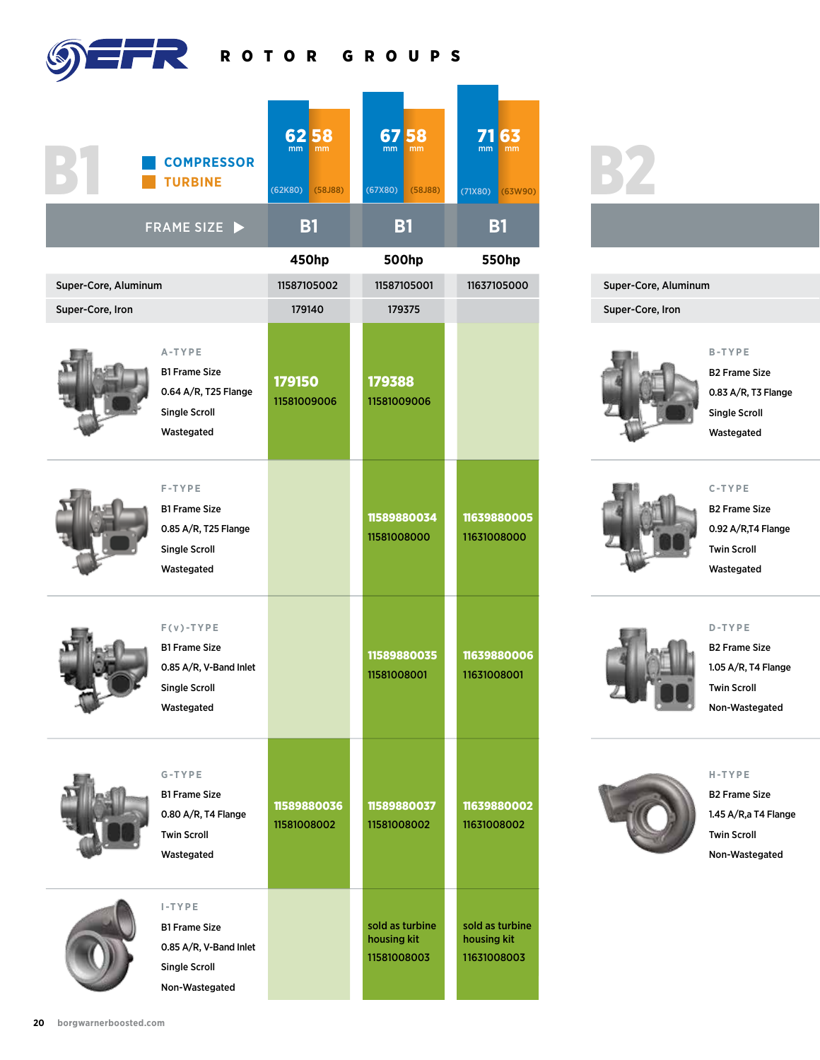ROTOR GROUPS

| Б                                        | <b>COMPRESSOR</b><br><b>TURBINE</b>                                                                   | 6258<br>(62K80)<br>(58J88) | 6758<br>(67X80)<br>(58J88)                    | 7163<br>(71X80)<br>63W90)                     |
|------------------------------------------|-------------------------------------------------------------------------------------------------------|----------------------------|-----------------------------------------------|-----------------------------------------------|
|                                          | FRAME SIZE                                                                                            | <b>B1</b>                  | <b>B1</b>                                     | <b>B1</b>                                     |
|                                          |                                                                                                       | 450hp                      | 500hp                                         | <b>550hp</b>                                  |
| Super-Core, Aluminum<br>Super-Core, Iron |                                                                                                       | 11587105002<br>179140      | 11587105001<br>179375                         | 11637105000                                   |
|                                          | A-TYPE<br><b>B1 Frame Size</b><br>0.64 A/R, T25 Flange<br><b>Single Scroll</b><br>Wastegated          | 179150<br>11581009006      | 179388<br>11581009006                         |                                               |
|                                          | $F - T Y P E$<br><b>B1 Frame Size</b><br>0.85 A/R, T25 Flange<br><b>Single Scroll</b><br>Wastegated   |                            | 11589880034<br>11581008000                    | 11639880005<br>11631008000                    |
|                                          | $F(v) - TYPE$<br><b>B1 Frame Size</b><br>0.85 A/R, V-Band Inlet<br><b>Single Scroll</b><br>Wastegated |                            | 11589880035<br>11581008001                    | 11639880006<br>11631008001                    |
|                                          | G-TYPE<br><b>B1 Frame Size</b><br>0.80 A/R, T4 Flange<br><b>Twin Scroll</b><br>Wastegated             | 11589880036<br>11581008002 | 11589880037<br>11581008002                    | 11639880002<br>11631008002                    |
|                                          | $I$ -TYPE<br><b>B1 Frame Size</b><br>0.85 A/R, V-Band Inlet<br><b>Single Scroll</b><br>Non-Wastegated |                            | sold as turbine<br>housing kit<br>11581008003 | sold as turbine<br>housing kit<br>11631008003 |